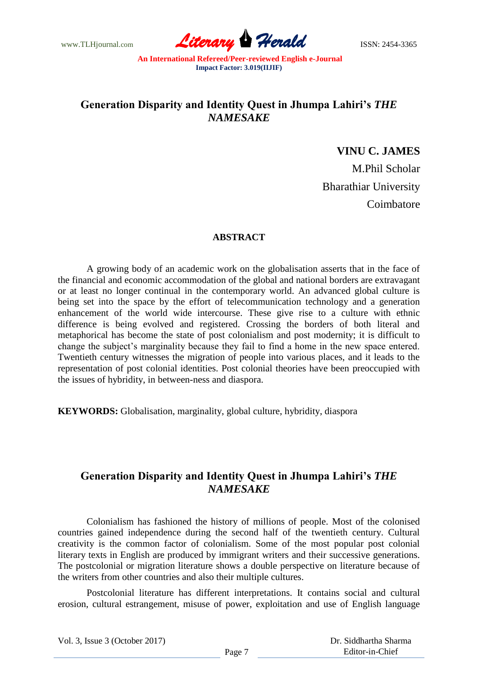www.TLHjournal.com *Literary Herald*ISSN: 2454-3365

# **Generation Disparity and Identity Quest in Jhumpa Lahiri's** *THE NAMESAKE*

### **VINU C. JAMES**

M.Phil Scholar Bharathiar University Coimbatore

#### **ABSTRACT**

A growing body of an academic work on the globalisation asserts that in the face of the financial and economic accommodation of the global and national borders are extravagant or at least no longer continual in the contemporary world. An advanced global culture is being set into the space by the effort of telecommunication technology and a generation enhancement of the world wide intercourse. These give rise to a culture with ethnic difference is being evolved and registered. Crossing the borders of both literal and metaphorical has become the state of post colonialism and post modernity; it is difficult to change the subject"s marginality because they fail to find a home in the new space entered. Twentieth century witnesses the migration of people into various places, and it leads to the representation of post colonial identities. Post colonial theories have been preoccupied with the issues of hybridity, in between-ness and diaspora.

**KEYWORDS:** Globalisation, marginality, global culture, hybridity, diaspora

## **Generation Disparity and Identity Quest in Jhumpa Lahiri's** *THE NAMESAKE*

Colonialism has fashioned the history of millions of people. Most of the colonised countries gained independence during the second half of the twentieth century. Cultural creativity is the common factor of colonialism. Some of the most popular post colonial literary texts in English are produced by immigrant writers and their successive generations. The postcolonial or migration literature shows a double perspective on literature because of the writers from other countries and also their multiple cultures.

Postcolonial literature has different interpretations. It contains social and cultural erosion, cultural estrangement, misuse of power, exploitation and use of English language

 Dr. Siddhartha Sharma Editor-in-Chief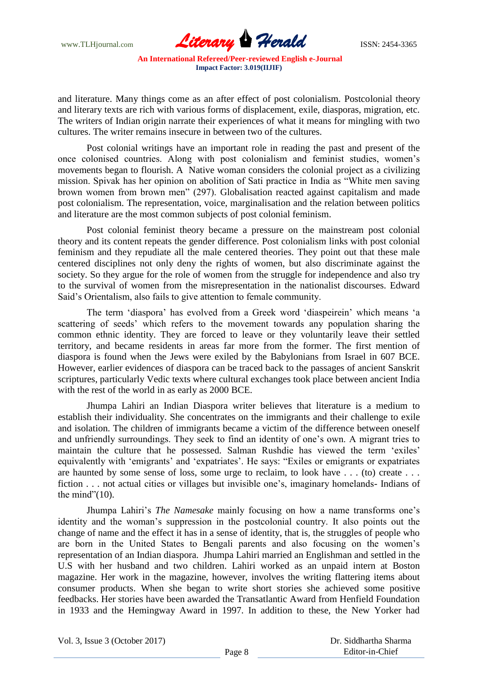www.TLHjournal.com **Literary Herald Herald ISSN: 2454-3365** 

and literature. Many things come as an after effect of post colonialism. Postcolonial theory and literary texts are rich with various forms of displacement, exile, diasporas, migration, etc. The writers of Indian origin narrate their experiences of what it means for mingling with two cultures. The writer remains insecure in between two of the cultures.

Post colonial writings have an important role in reading the past and present of the once colonised countries. Along with post colonialism and feminist studies, women"s movements began to flourish. A Native woman considers the colonial project as a civilizing mission. Spivak has her opinion on abolition of Sati practice in India as "White men saving brown women from brown men" (297). Globalisation reacted against capitalism and made post colonialism. The representation, voice, marginalisation and the relation between politics and literature are the most common subjects of post colonial feminism.

Post colonial feminist theory became a pressure on the mainstream post colonial theory and its content repeats the gender difference. Post colonialism links with post colonial feminism and they repudiate all the male centered theories. They point out that these male centered disciplines not only deny the rights of women, but also discriminate against the society. So they argue for the role of women from the struggle for independence and also try to the survival of women from the misrepresentation in the nationalist discourses. Edward Said"s Orientalism, also fails to give attention to female community.

The term "diaspora" has evolved from a Greek word "diaspeirein" which means "a scattering of seeds' which refers to the movement towards any population sharing the common ethnic identity. They are forced to leave or they voluntarily leave their settled territory, and became residents in areas far more from the former. The first mention of diaspora is found when the Jews were exiled by the Babylonians from Israel in 607 BCE. However, earlier evidences of diaspora can be traced back to the passages of ancient Sanskrit scriptures, particularly Vedic texts where cultural exchanges took place between ancient India with the rest of the world in as early as 2000 BCE.

Jhumpa Lahiri an Indian Diaspora writer believes that literature is a medium to establish their individuality. She concentrates on the immigrants and their challenge to exile and isolation. The children of immigrants became a victim of the difference between oneself and unfriendly surroundings. They seek to find an identity of one"s own. A migrant tries to maintain the culture that he possessed. Salman Rushdie has viewed the term "exiles" equivalently with 'emigrants' and 'expatriates'. He says: "Exiles or emigrants or expatriates are haunted by some sense of loss, some urge to reclaim, to look have . . . (to) create . . . fiction . . . not actual cities or villages but invisible one"s, imaginary homelands- Indians of the mind"(10).

Jhumpa Lahiri"s *The Namesake* mainly focusing on how a name transforms one"s identity and the woman"s suppression in the postcolonial country. It also points out the change of name and the effect it has in a sense of identity, that is, the struggles of people who are born in the United States to Bengali parents and also focusing on the women"s representation of an Indian diaspora. Jhumpa Lahiri married an Englishman and settled in the U.S with her husband and two children. Lahiri worked as an unpaid intern at Boston magazine. Her work in the magazine, however, involves the writing flattering items about consumer products. When she began to write short stories she achieved some positive feedbacks. Her stories have been awarded the Transatlantic Award from Henfield Foundation in 1933 and the Hemingway Award in 1997. In addition to these, the New Yorker had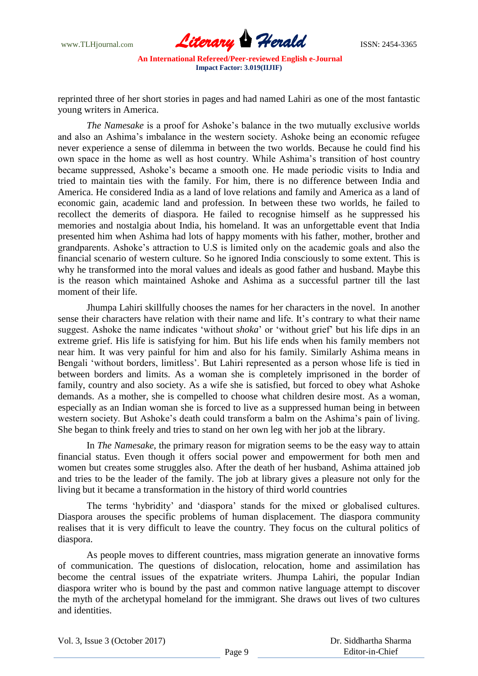

reprinted three of her short stories in pages and had named Lahiri as one of the most fantastic young writers in America.

*The Namesake* is a proof for Ashoke's balance in the two mutually exclusive worlds and also an Ashima"s imbalance in the western society. Ashoke being an economic refugee never experience a sense of dilemma in between the two worlds. Because he could find his own space in the home as well as host country. While Ashima"s transition of host country became suppressed, Ashoke"s became a smooth one. He made periodic visits to India and tried to maintain ties with the family. For him, there is no difference between India and America. He considered India as a land of love relations and family and America as a land of economic gain, academic land and profession. In between these two worlds, he failed to recollect the demerits of diaspora. He failed to recognise himself as he suppressed his memories and nostalgia about India, his homeland. It was an unforgettable event that India presented him when Ashima had lots of happy moments with his father, mother, brother and grandparents. Ashoke"s attraction to U.S is limited only on the academic goals and also the financial scenario of western culture. So he ignored India consciously to some extent. This is why he transformed into the moral values and ideals as good father and husband. Maybe this is the reason which maintained Ashoke and Ashima as a successful partner till the last moment of their life.

Jhumpa Lahiri skillfully chooses the names for her characters in the novel. In another sense their characters have relation with their name and life. It's contrary to what their name suggest. Ashoke the name indicates "without *shoka*" or "without grief" but his life dips in an extreme grief. His life is satisfying for him. But his life ends when his family members not near him. It was very painful for him and also for his family. Similarly Ashima means in Bengali 'without borders, limitless'. But Lahiri represented as a person whose life is tied in between borders and limits. As a woman she is completely imprisoned in the border of family, country and also society. As a wife she is satisfied, but forced to obey what Ashoke demands. As a mother, she is compelled to choose what children desire most. As a woman, especially as an Indian woman she is forced to live as a suppressed human being in between western society. But Ashoke's death could transform a balm on the Ashima's pain of living. She began to think freely and tries to stand on her own leg with her job at the library.

In *The Namesake*, the primary reason for migration seems to be the easy way to attain financial status. Even though it offers social power and empowerment for both men and women but creates some struggles also. After the death of her husband, Ashima attained job and tries to be the leader of the family. The job at library gives a pleasure not only for the living but it became a transformation in the history of third world countries

The terms "hybridity" and "diaspora" stands for the mixed or globalised cultures. Diaspora arouses the specific problems of human displacement. The diaspora community realises that it is very difficult to leave the country. They focus on the cultural politics of diaspora.

As people moves to different countries, mass migration generate an innovative forms of communication. The questions of dislocation, relocation, home and assimilation has become the central issues of the expatriate writers. Jhumpa Lahiri, the popular Indian diaspora writer who is bound by the past and common native language attempt to discover the myth of the archetypal homeland for the immigrant. She draws out lives of two cultures and identities.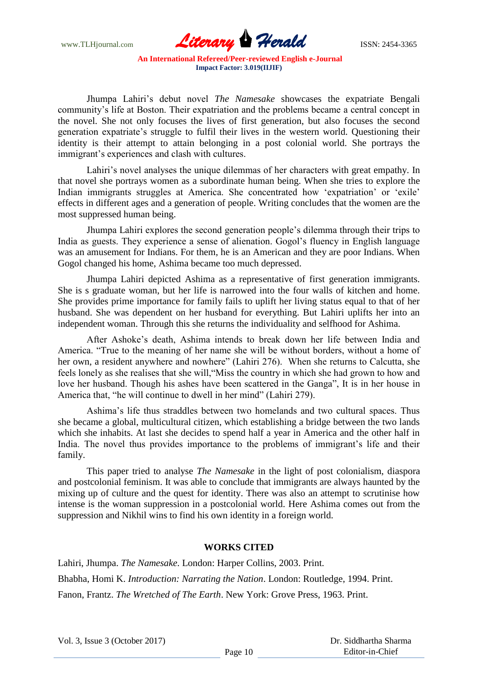

Jhumpa Lahiri"s debut novel *The Namesake* showcases the expatriate Bengali community"s life at Boston. Their expatriation and the problems became a central concept in the novel. She not only focuses the lives of first generation, but also focuses the second generation expatriate"s struggle to fulfil their lives in the western world. Questioning their identity is their attempt to attain belonging in a post colonial world. She portrays the immigrant's experiences and clash with cultures.

Lahiri's novel analyses the unique dilemmas of her characters with great empathy. In that novel she portrays women as a subordinate human being. When she tries to explore the Indian immigrants struggles at America. She concentrated how 'expatriation' or 'exile' effects in different ages and a generation of people. Writing concludes that the women are the most suppressed human being.

Jhumpa Lahiri explores the second generation people"s dilemma through their trips to India as guests. They experience a sense of alienation. Gogol"s fluency in English language was an amusement for Indians. For them, he is an American and they are poor Indians. When Gogol changed his home, Ashima became too much depressed.

Jhumpa Lahiri depicted Ashima as a representative of first generation immigrants. She is s graduate woman, but her life is narrowed into the four walls of kitchen and home. She provides prime importance for family fails to uplift her living status equal to that of her husband. She was dependent on her husband for everything. But Lahiri uplifts her into an independent woman. Through this she returns the individuality and selfhood for Ashima.

After Ashoke"s death, Ashima intends to break down her life between India and America. "True to the meaning of her name she will be without borders, without a home of her own, a resident anywhere and nowhere" (Lahiri 276). When she returns to Calcutta, she feels lonely as she realises that she will,"Miss the country in which she had grown to how and love her husband. Though his ashes have been scattered in the Ganga", It is in her house in America that, "he will continue to dwell in her mind" (Lahiri 279).

Ashima"s life thus straddles between two homelands and two cultural spaces. Thus she became a global, multicultural citizen, which establishing a bridge between the two lands which she inhabits. At last she decides to spend half a year in America and the other half in India. The novel thus provides importance to the problems of immigrant's life and their family.

This paper tried to analyse *The Namesake* in the light of post colonialism, diaspora and postcolonial feminism. It was able to conclude that immigrants are always haunted by the mixing up of culture and the quest for identity. There was also an attempt to scrutinise how intense is the woman suppression in a postcolonial world. Here Ashima comes out from the suppression and Nikhil wins to find his own identity in a foreign world.

#### **WORKS CITED**

Lahiri, Jhumpa. *The Namesake*. London: Harper Collins, 2003. Print. Bhabha, Homi K. *Introduction: Narrating the Nation*. London: Routledge, 1994. Print. Fanon, Frantz. *The Wretched of The Earth*. New York: Grove Press, 1963. Print.